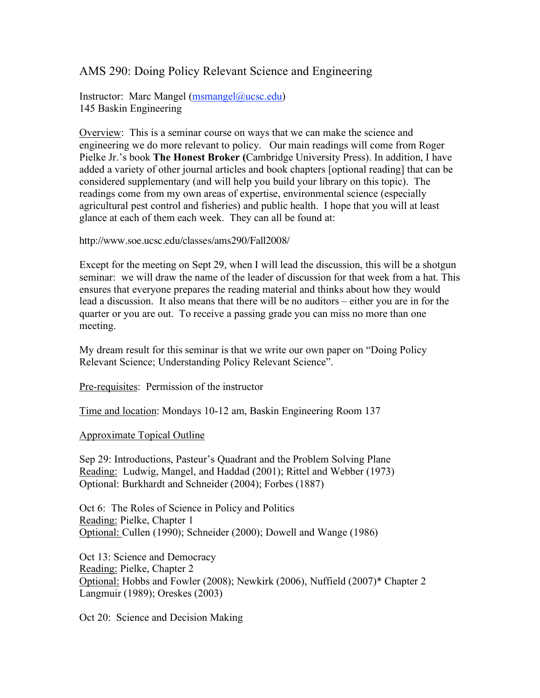## AMS 290: Doing Policy Relevant Science and Engineering

Instructor: Marc Mangel (msmangel@ucsc.edu) 145 Baskin Engineering

Overview: This is a seminar course on ways that we can make the science and engineering we do more relevant to policy. Our main readings will come from Roger Pielke Jr.'s book **The Honest Broker (**Cambridge University Press). In addition, I have added a variety of other journal articles and book chapters [optional reading] that can be considered supplementary (and will help you build your library on this topic). The readings come from my own areas of expertise, environmental science (especially agricultural pest control and fisheries) and public health. I hope that you will at least glance at each of them each week. They can all be found at:

http://www.soe.ucsc.edu/classes/ams290/Fall2008/

Except for the meeting on Sept 29, when I will lead the discussion, this will be a shotgun seminar: we will draw the name of the leader of discussion for that week from a hat. This ensures that everyone prepares the reading material and thinks about how they would lead a discussion. It also means that there will be no auditors – either you are in for the quarter or you are out. To receive a passing grade you can miss no more than one meeting.

My dream result for this seminar is that we write our own paper on "Doing Policy Relevant Science; Understanding Policy Relevant Science".

Pre-requisites: Permission of the instructor

Time and location: Mondays 10-12 am, Baskin Engineering Room 137

Approximate Topical Outline

Sep 29: Introductions, Pasteur's Quadrant and the Problem Solving Plane Reading: Ludwig, Mangel, and Haddad (2001); Rittel and Webber (1973) Optional: Burkhardt and Schneider (2004); Forbes (1887)

Oct 6: The Roles of Science in Policy and Politics Reading: Pielke, Chapter 1 Optional: Cullen (1990); Schneider (2000); Dowell and Wange (1986)

Oct 13: Science and Democracy Reading: Pielke, Chapter 2 Optional: Hobbs and Fowler (2008); Newkirk (2006), Nuffield (2007)\* Chapter 2 Langmuir (1989); Oreskes (2003)

Oct 20: Science and Decision Making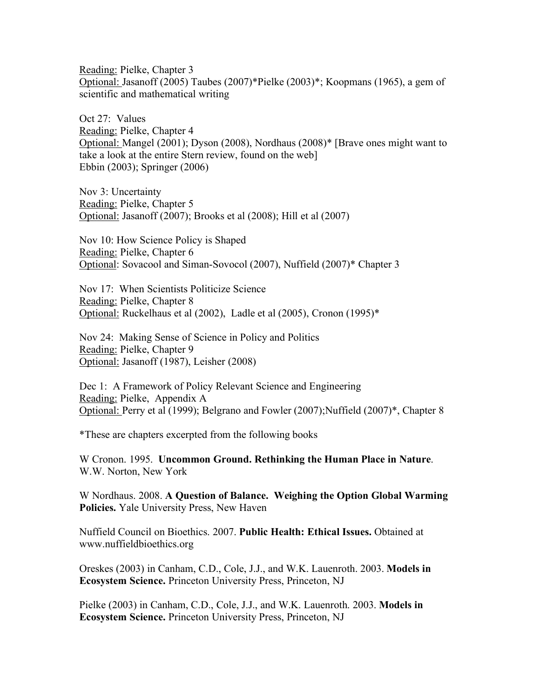Reading: Pielke, Chapter 3 Optional: Jasanoff (2005) Taubes (2007)\*Pielke (2003)\*; Koopmans (1965), a gem of scientific and mathematical writing

Oct 27: Values Reading: Pielke, Chapter 4 Optional: Mangel (2001); Dyson (2008), Nordhaus (2008)\* [Brave ones might want to take a look at the entire Stern review, found on the web] Ebbin (2003); Springer (2006)

Nov 3: Uncertainty Reading: Pielke, Chapter 5 Optional: Jasanoff (2007); Brooks et al (2008); Hill et al (2007)

Nov 10: How Science Policy is Shaped Reading: Pielke, Chapter 6 Optional: Sovacool and Siman-Sovocol (2007), Nuffield (2007)\* Chapter 3

Nov 17: When Scientists Politicize Science Reading: Pielke, Chapter 8 Optional: Ruckelhaus et al (2002), Ladle et al (2005), Cronon (1995)\*

Nov 24: Making Sense of Science in Policy and Politics Reading: Pielke, Chapter 9 Optional: Jasanoff (1987), Leisher (2008)

Dec 1: A Framework of Policy Relevant Science and Engineering Reading: Pielke, Appendix A Optional: Perry et al (1999); Belgrano and Fowler (2007);Nuffield (2007)\*, Chapter 8

\*These are chapters excerpted from the following books

W Cronon. 1995. **Uncommon Ground. Rethinking the Human Place in Nature**. W.W. Norton, New York

W Nordhaus. 2008. **A Question of Balance. Weighing the Option Global Warming Policies.** Yale University Press, New Haven

Nuffield Council on Bioethics. 2007. **Public Health: Ethical Issues.** Obtained at www.nuffieldbioethics.org

Oreskes (2003) in Canham, C.D., Cole, J.J., and W.K. Lauenroth. 2003. **Models in Ecosystem Science.** Princeton University Press, Princeton, NJ

Pielke (2003) in Canham, C.D., Cole, J.J., and W.K. Lauenroth. 2003. **Models in Ecosystem Science.** Princeton University Press, Princeton, NJ